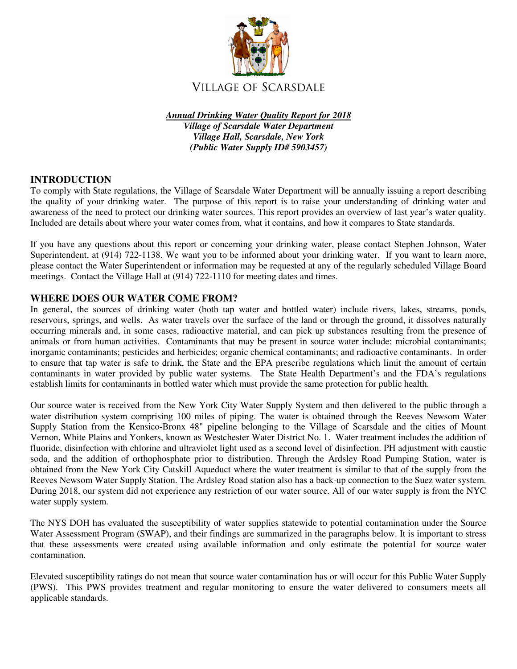

*Annual Drinking Water Quality Report for 2018 Village of Scarsdale Water Department Village Hall, Scarsdale, New York (Public Water Supply ID# 5903457)*

# **INTRODUCTION**

To comply with State regulations, the Village of Scarsdale Water Department will be annually issuing a report describing the quality of your drinking water. The purpose of this report is to raise your understanding of drinking water and awareness of the need to protect our drinking water sources. This report provides an overview of last year's water quality. Included are details about where your water comes from, what it contains, and how it compares to State standards.

If you have any questions about this report or concerning your drinking water, please contact Stephen Johnson, Water Superintendent, at (914) 722-1138. We want you to be informed about your drinking water. If you want to learn more, please contact the Water Superintendent or information may be requested at any of the regularly scheduled Village Board meetings. Contact the Village Hall at (914) 722-1110 for meeting dates and times.

# **WHERE DOES OUR WATER COME FROM?**

In general, the sources of drinking water (both tap water and bottled water) include rivers, lakes, streams, ponds, reservoirs, springs, and wells. As water travels over the surface of the land or through the ground, it dissolves naturally occurring minerals and, in some cases, radioactive material, and can pick up substances resulting from the presence of animals or from human activities. Contaminants that may be present in source water include: microbial contaminants; inorganic contaminants; pesticides and herbicides; organic chemical contaminants; and radioactive contaminants. In order to ensure that tap water is safe to drink, the State and the EPA prescribe regulations which limit the amount of certain contaminants in water provided by public water systems. The State Health Department's and the FDA's regulations establish limits for contaminants in bottled water which must provide the same protection for public health.

Our source water is received from the New York City Water Supply System and then delivered to the public through a water distribution system comprising 100 miles of piping. The water is obtained through the Reeves Newsom Water Supply Station from the Kensico-Bronx 48" pipeline belonging to the Village of Scarsdale and the cities of Mount Vernon, White Plains and Yonkers, known as Westchester Water District No. 1. Water treatment includes the addition of fluoride, disinfection with chlorine and ultraviolet light used as a second level of disinfection. PH adjustment with caustic soda, and the addition of orthophosphate prior to distribution. Through the Ardsley Road Pumping Station, water is obtained from the New York City Catskill Aqueduct where the water treatment is similar to that of the supply from the Reeves Newsom Water Supply Station. The Ardsley Road station also has a back-up connection to the Suez water system. During 2018, our system did not experience any restriction of our water source. All of our water supply is from the NYC water supply system.

The NYS DOH has evaluated the susceptibility of water supplies statewide to potential contamination under the Source Water Assessment Program (SWAP), and their findings are summarized in the paragraphs below. It is important to stress that these assessments were created using available information and only estimate the potential for source water contamination.

Elevated susceptibility ratings do not mean that source water contamination has or will occur for this Public Water Supply (PWS). This PWS provides treatment and regular monitoring to ensure the water delivered to consumers meets all applicable standards.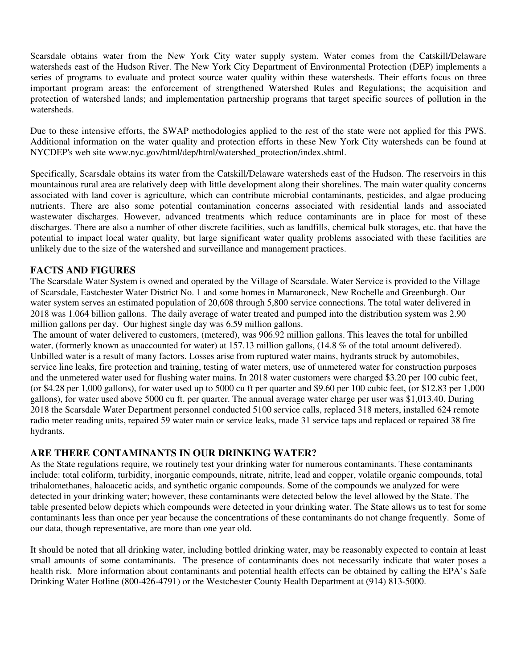Scarsdale obtains water from the New York City water supply system. Water comes from the Catskill/Delaware watersheds east of the Hudson River. The New York City Department of Environmental Protection (DEP) implements a series of programs to evaluate and protect source water quality within these watersheds. Their efforts focus on three important program areas: the enforcement of strengthened Watershed Rules and Regulations; the acquisition and protection of watershed lands; and implementation partnership programs that target specific sources of pollution in the watersheds.

Due to these intensive efforts, the SWAP methodologies applied to the rest of the state were not applied for this PWS. Additional information on the water quality and protection efforts in these New York City watersheds can be found at NYCDEP's web site www.nyc.gov/html/dep/html/watershed\_protection/index.shtml.

Specifically, Scarsdale obtains its water from the Catskill/Delaware watersheds east of the Hudson. The reservoirs in this mountainous rural area are relatively deep with little development along their shorelines. The main water quality concerns associated with land cover is agriculture, which can contribute microbial contaminants, pesticides, and algae producing nutrients. There are also some potential contamination concerns associated with residential lands and associated wastewater discharges. However, advanced treatments which reduce contaminants are in place for most of these discharges. There are also a number of other discrete facilities, such as landfills, chemical bulk storages, etc. that have the potential to impact local water quality, but large significant water quality problems associated with these facilities are unlikely due to the size of the watershed and surveillance and management practices.

# **FACTS AND FIGURES**

The Scarsdale Water System is owned and operated by the Village of Scarsdale. Water Service is provided to the Village of Scarsdale, Eastchester Water District No. 1 and some homes in Mamaroneck, New Rochelle and Greenburgh. Our water system serves an estimated population of 20,608 through 5,800 service connections. The total water delivered in 2018 was 1.064 billion gallons. The daily average of water treated and pumped into the distribution system was 2.90 million gallons per day. Our highest single day was 6.59 million gallons.

 The amount of water delivered to customers, (metered), was 906.92 million gallons. This leaves the total for unbilled water, (formerly known as unaccounted for water) at 157.13 million gallons, (14.8 % of the total amount delivered). Unbilled water is a result of many factors. Losses arise from ruptured water mains, hydrants struck by automobiles, service line leaks, fire protection and training, testing of water meters, use of unmetered water for construction purposes and the unmetered water used for flushing water mains. In 2018 water customers were charged \$3.20 per 100 cubic feet, (or \$4.28 per 1,000 gallons), for water used up to 5000 cu ft per quarter and \$9.60 per 100 cubic feet, (or \$12.83 per 1,000 gallons), for water used above 5000 cu ft. per quarter. The annual average water charge per user was \$1,013.40. During 2018 the Scarsdale Water Department personnel conducted 5100 service calls, replaced 318 meters, installed 624 remote radio meter reading units, repaired 59 water main or service leaks, made 31 service taps and replaced or repaired 38 fire hydrants.

# **ARE THERE CONTAMINANTS IN OUR DRINKING WATER?**

As the State regulations require, we routinely test your drinking water for numerous contaminants. These contaminants include: total coliform, turbidity, inorganic compounds, nitrate, nitrite, lead and copper, volatile organic compounds, total trihalomethanes, haloacetic acids, and synthetic organic compounds. Some of the compounds we analyzed for were detected in your drinking water; however, these contaminants were detected below the level allowed by the State. The table presented below depicts which compounds were detected in your drinking water. The State allows us to test for some contaminants less than once per year because the concentrations of these contaminants do not change frequently. Some of our data, though representative, are more than one year old.

It should be noted that all drinking water, including bottled drinking water, may be reasonably expected to contain at least small amounts of some contaminants. The presence of contaminants does not necessarily indicate that water poses a health risk. More information about contaminants and potential health effects can be obtained by calling the EPA's Safe Drinking Water Hotline (800-426-4791) or the Westchester County Health Department at (914) 813-5000.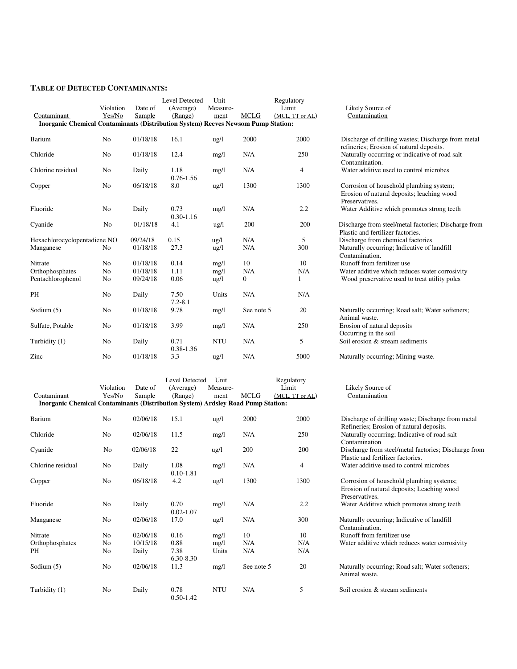#### **TABLE OF DETECTED CONTAMINANTS:**

|                                                                                          |                |          | Level Detected        | Unit            | Regulatory  |                 |                                                                                                         |  |
|------------------------------------------------------------------------------------------|----------------|----------|-----------------------|-----------------|-------------|-----------------|---------------------------------------------------------------------------------------------------------|--|
|                                                                                          | Violation      | Date of  | (Average)             | Measure-        |             | Limit           | Likely Source of                                                                                        |  |
| Contaminant                                                                              | Yes/No         | Sample   | (Range)               | ment            | <b>MCLG</b> | (MCL, TT or AL) | Contamination                                                                                           |  |
| <b>Inorganic Chemical Contaminants (Distribution System) Reeves Newsom Pump Station:</b> |                |          |                       |                 |             |                 |                                                                                                         |  |
|                                                                                          |                |          |                       |                 |             |                 |                                                                                                         |  |
| Barium                                                                                   | N <sub>o</sub> | 01/18/18 | 16.1                  | $\frac{u}{2}$   | 2000        | 2000            | Discharge of drilling wastes; Discharge from metal<br>refineries; Erosion of natural deposits.          |  |
| Chloride                                                                                 | No             | 01/18/18 | 12.4                  | mg/l            | N/A         | 250             | Naturally occurring or indicative of road salt                                                          |  |
|                                                                                          |                |          |                       |                 |             |                 | Contamination.                                                                                          |  |
| Chlorine residual                                                                        | No             | Daily    | 1.18<br>$0.76 - 1.56$ | mg/l            | N/A         | 4               | Water additive used to control microbes                                                                 |  |
| Copper                                                                                   | N <sub>o</sub> | 06/18/18 | 8.0                   | $\frac{u g}{l}$ | 1300        | 1300            | Corrosion of household plumbing system;<br>Erosion of natural deposits; leaching wood<br>Preservatives. |  |
| Fluoride                                                                                 | N <sub>0</sub> | Daily    | 0.73<br>$0.30 - 1.16$ | mg/l            | N/A         | 2.2             | Water Additive which promotes strong teeth                                                              |  |
| Cyanide                                                                                  | No             | 01/18/18 | 4.1                   | $\frac{u g}{l}$ | 200         | 200             | Discharge from steel/metal factories; Discharge from<br>Plastic and fertilizer factories.               |  |
| Hexachlorocyclopentadiene NO                                                             |                | 09/24/18 | 0.15                  | $\frac{u}{g}$   | N/A         | 5               | Discharge from chemical factories                                                                       |  |
| Manganese                                                                                | No             | 01/18/18 | 27.3                  | $\frac{u}{g}$   | N/A         | 300             | Naturally occurring; Indicative of landfill<br>Contamination.                                           |  |
| Nitrate                                                                                  | N <sub>o</sub> | 01/18/18 | 0.14                  | mg/l            | 10          | 10              | Runoff from fertilizer use                                                                              |  |
| Orthophosphates                                                                          | N <sub>o</sub> | 01/18/18 | 1.11                  | mg/l            | N/A         | N/A             | Water additive which reduces water corrosivity                                                          |  |
| Pentachlorophenol                                                                        | No             | 09/24/18 | 0.06                  | ug/l            | $\Omega$    |                 | Wood preservative used to treat utility poles                                                           |  |
| PH                                                                                       | No             | Daily    | 7.50<br>$7.2 - 8.1$   | Units           | N/A         | N/A             |                                                                                                         |  |
| Sodium $(5)$                                                                             | No             | 01/18/18 | 9.78                  | mg/l            | See note 5  | 20              | Naturally occurring; Road salt; Water softeners;<br>Animal waste.                                       |  |
| Sulfate, Potable                                                                         | No             | 01/18/18 | 3.99                  | mg/l            | N/A         | 250             | Erosion of natural deposits<br>Occurring in the soil                                                    |  |
| Turbidity (1)                                                                            | No             | Daily    | 0.71<br>0.38-1.36     | <b>NTU</b>      | N/A         | 5               | Soil erosion & stream sediments                                                                         |  |
| Zinc                                                                                     | No             | 01/18/18 | 3.3                   | $\frac{u}{g}$   | N/A         | 5000            | Naturally occurring; Mining waste.                                                                      |  |

|                                                                                  |                |          | <b>Level Detected</b> | Unit            |             | Regulatory      |                                                                                                          |  |
|----------------------------------------------------------------------------------|----------------|----------|-----------------------|-----------------|-------------|-----------------|----------------------------------------------------------------------------------------------------------|--|
|                                                                                  | Violation      | Date of  | (Average)             | Measure-        |             | Limit           | Likely Source of                                                                                         |  |
| Contaminant                                                                      | Yes/No         | Sample   | (Range)               | ment            | <b>MCLG</b> | (MCL, TT or AL) | Contamination                                                                                            |  |
| Inorganic Chemical Contaminants (Distribution System) Ardsley Road Pump Station: |                |          |                       |                 |             |                 |                                                                                                          |  |
| Barium                                                                           | N <sub>0</sub> | 02/06/18 | 15.1                  | ug/l            | 2000        | 2000            | Discharge of drilling waste; Discharge from metal<br>Refineries; Erosion of natural deposits.            |  |
| Chloride                                                                         | No             | 02/06/18 | 11.5                  | mg/l            | N/A         | 250             | Naturally occurring; Indicative of road salt<br>Contamination                                            |  |
| Cyanide                                                                          | No             | 02/06/18 | 22                    | ug/l            | 200         | 200             | Discharge from steel/metal factories; Discharge from<br>Plastic and fertilizer factories.                |  |
| Chlorine residual                                                                | No             | Daily    | 1.08<br>$0.10 - 1.81$ | mg/l            | N/A         | 4               | Water additive used to control microbes                                                                  |  |
| Copper                                                                           | No             | 06/18/18 | 4.2                   | $\frac{u g}{l}$ | 1300        | 1300            | Corrosion of household plumbing systems;<br>Erosion of natural deposits; Leaching wood<br>Preservatives. |  |
| Fluoride                                                                         | N <sub>0</sub> | Daily    | 0.70<br>$0.02 - 1.07$ | mg/l            | N/A         | 2.2             | Water Additive which promotes strong teeth                                                               |  |
| Manganese                                                                        | N <sub>0</sub> | 02/06/18 | 17.0                  | $\frac{u g}{l}$ | N/A         | 300             | Naturally occurring; Indicative of landfill<br>Contamination.                                            |  |
| Nitrate                                                                          | No             | 02/06/18 | 0.16                  | mg/l            | 10          | 10              | Runoff from fertilizer use                                                                               |  |
| Orthophosphates                                                                  | N <sub>o</sub> | 10/15/18 | 0.88                  | mg/l            | N/A         | N/A             | Water additive which reduces water corrosivity                                                           |  |
| PH                                                                               | No             | Daily    | 7.38<br>6.30-8.30     | Units           | N/A         | N/A             |                                                                                                          |  |
| Sodium $(5)$                                                                     | No             | 02/06/18 | 11.3                  | mg/l            | See note 5  | 20              | Naturally occurring; Road salt; Water softeners;<br>Animal waste.                                        |  |
| Turbidity (1)                                                                    | N <sub>o</sub> | Daily    | 0.78<br>$0.50 - 1.42$ | <b>NTU</b>      | N/A         | 5               | Soil erosion & stream sediments                                                                          |  |

| Discharge of drilling wastes; Discharge from metal<br>refineries; Erosion of natural deposits.<br>Naturally occurring or indicative of road salt<br>Contamination.<br>Water additive used to control microbes                                                                                                                    |
|----------------------------------------------------------------------------------------------------------------------------------------------------------------------------------------------------------------------------------------------------------------------------------------------------------------------------------|
| Corrosion of household plumbing system;                                                                                                                                                                                                                                                                                          |
| Erosion of natural deposits; leaching wood                                                                                                                                                                                                                                                                                       |
| Preservatives.                                                                                                                                                                                                                                                                                                                   |
| Water Additive which promotes strong teeth                                                                                                                                                                                                                                                                                       |
| Discharge from steel/metal factories; Discharge from<br>Plastic and fertilizer factories.<br>Discharge from chemical factories<br>Naturally occurring; Indicative of landfill<br>Contamination.<br>Runoff from fertilizer use<br>Water additive which reduces water corrosivity<br>Wood preservative used to treat utility poles |
| Naturally occurring; Road salt; Water softeners;                                                                                                                                                                                                                                                                                 |

| Naturally occurring; Road salt; Water softeners: |
|--------------------------------------------------|
| Animal waste.                                    |
| Erosion of natural deposits                      |
| Occurring in the soil                            |
| Soil erosion & stream sediments                  |
|                                                  |

| Discharge of drilling waste; Discharge from metal<br>Refineries; Erosion of natural deposits.<br>Naturally occurring; Indicative of road salt<br>Contamination<br>Discharge from steel/metal factories; Discharge from |
|------------------------------------------------------------------------------------------------------------------------------------------------------------------------------------------------------------------------|
| Plastic and fertilizer factories.                                                                                                                                                                                      |
| Water additive used to control microbes                                                                                                                                                                                |
| Corrosion of household plumbing systems;<br>Erosion of natural deposits; Leaching wood<br>Preservatives.                                                                                                               |
| Water Additive which promotes strong teeth                                                                                                                                                                             |
| Naturally occurring; Indicative of landfill<br>Contamination.<br>Runoff from fertilizer use<br>Water additive which reduces water corrosivity                                                                          |
| Naturally occurring; Road salt; Water softeners;<br>Animal waste.                                                                                                                                                      |
|                                                                                                                                                                                                                        |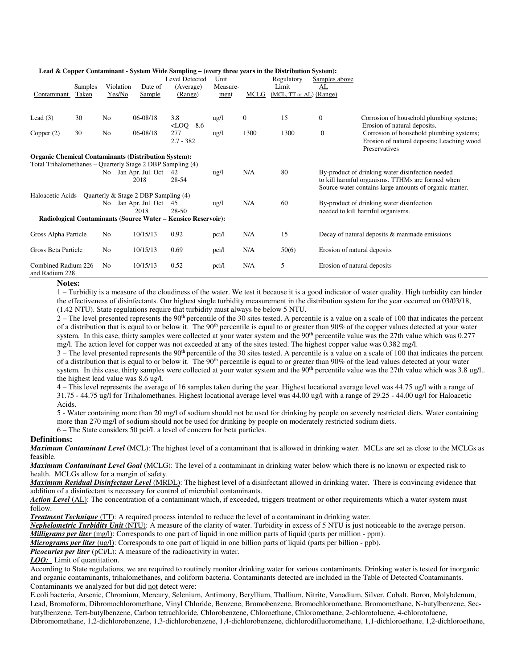| Contaminant                                                   | Samples<br>Taken |     | Violation<br>Date of<br>Yes/No<br>Sample                   | Level Detected<br>(Average)<br>(Range) | Unit<br>Measure-<br>ment | MCLG         | Regulatory<br>Limit<br>(MCL, TT or AL) (Range) | Samples above<br>AL         |                                                                                                                                                                |
|---------------------------------------------------------------|------------------|-----|------------------------------------------------------------|----------------------------------------|--------------------------|--------------|------------------------------------------------|-----------------------------|----------------------------------------------------------------------------------------------------------------------------------------------------------------|
|                                                               |                  |     |                                                            |                                        |                          |              |                                                |                             |                                                                                                                                                                |
| Lead $(3)$                                                    | 30               | No  | 06-08/18                                                   | 3.8<br>$<$ LOQ $-$ 8.6                 | ug/l                     | $\mathbf{0}$ | 15                                             | $\boldsymbol{0}$            | Corrosion of household plumbing systems;<br>Erosion of natural deposits.                                                                                       |
| Copper $(2)$                                                  | 30               | No  | 06-08/18                                                   | 277<br>$2.7 - 382$                     | $\frac{u g}{l}$          | 1300         | 1300                                           | $\boldsymbol{0}$            | Corrosion of household plumbing systems;<br>Erosion of natural deposits; Leaching wood<br>Preservatives                                                        |
| <b>Organic Chemical Contaminants (Distribution System):</b>   |                  |     |                                                            |                                        |                          |              |                                                |                             |                                                                                                                                                                |
|                                                               |                  |     | Total Trihalomethanes – Quarterly Stage 2 DBP Sampling (4) |                                        |                          |              |                                                |                             |                                                                                                                                                                |
|                                                               |                  |     | No Jan Apr. Jul. Oct 42<br>2018                            | 28-54                                  | $\frac{u}{g}$            | N/A          | 80                                             |                             | By-product of drinking water disinfection needed<br>to kill harmful organisms. TTHMs are formed when<br>Source water contains large amounts of organic matter. |
| Haloacetic Acids – Quarterly & Stage 2 DBP Sampling $(4)$     |                  |     |                                                            |                                        |                          |              |                                                |                             |                                                                                                                                                                |
|                                                               |                  | No. | Jan Apr. Jul. Oct 45<br>2018                               | 28-50                                  | $\frac{u g}{l}$          | N/A          | 60                                             |                             | By-product of drinking water disinfection<br>needed to kill harmful organisms.                                                                                 |
| Radiological Contaminants (Source Water – Kensico Reservoir): |                  |     |                                                            |                                        |                          |              |                                                |                             |                                                                                                                                                                |
| Gross Alpha Particle                                          |                  | No  | 10/15/13                                                   | 0.92                                   | pci/l                    | N/A          | 15                                             |                             | Decay of natural deposits $\&$ manmade emissions                                                                                                               |
| Gross Beta Particle                                           |                  | No  | 10/15/13                                                   | 0.69                                   | pci/l                    | N/A          | 50(6)                                          | Erosion of natural deposits |                                                                                                                                                                |
| Combined Radium 226<br>and Radium 228                         |                  | No  | 10/15/13                                                   | 0.52                                   | pci/l                    | N/A          | 5                                              | Erosion of natural deposits |                                                                                                                                                                |

#### Lead & Copper Contaminant - System Wide Sampling – (every three years in the Distribution System):

**Notes:** 

1 – Turbidity is a measure of the cloudiness of the water. We test it because it is a good indicator of water quality. High turbidity can hinder the effectiveness of disinfectants. Our highest single turbidity measurement in the distribution system for the year occurred on 03/03/18, (1.42 NTU). State regulations require that turbidity must always be below 5 NTU.

 $2 -$  The level presented represents the 90<sup>th</sup> percentile of the 30 sites tested. A percentile is a value on a scale of 100 that indicates the percent of a distribution that is equal to or below it. The 90<sup>th</sup> percentile is equal to or greater than 90% of the copper values detected at your water system. In this case, thirty samples were collected at your water system and the 90<sup>th</sup> percentile value was the 27th value which was 0.277 mg/l. The action level for copper was not exceeded at any of the sites tested. The highest copper value was 0.382 mg/l.

 $3$  – The level presented represents the 90<sup>th</sup> percentile of the 30 sites tested. A percentile is a value on a scale of 100 that indicates the percent of a distribution that is equal to or below it. The 90<sup>th</sup> percentile is equal to or greater than 90% of the lead values detected at your water system. In this case, thirty samples were collected at your water system and the  $90<sup>th</sup>$  percentile value was the 27th value which was 3.8 ug/l.. the highest lead value was 8.6 ug/l.

4 – This level represents the average of 16 samples taken during the year. Highest locational average level was 44.75 ug/l with a range of 31.75 - 44.75 ug/l for Trihalomethanes. Highest locational average level was 44.00 ug/l with a range of 29.25 - 44.00 ug/l for Haloacetic Acids.

5 - Water containing more than 20 mg/l of sodium should not be used for drinking by people on severely restricted diets. Water containing more than 270 mg/l of sodium should not be used for drinking by people on moderately restricted sodium diets.

6 – The State considers 50 pci/L a level of concern for beta particles.

#### **Definitions:**

*Maximum Contaminant Level* **(**MCL): The highest level of a contaminant that is allowed in drinking water. MCLs are set as close to the MCLGs as feasible.

*Maximum Contaminant Level Goal* (MCLG): The level of a contaminant in drinking water below which there is no known or expected risk to health. MCLGs allow for a margin of safety.

*Maximum Residual Disinfectant Level* (MRDL): The highest level of a disinfectant allowed in drinking water. There is convincing evidence that addition of a disinfectant is necessary for control of microbial contaminants.

*Action Level* **(**AL): The concentration of a contaminant which, if exceeded, triggers treatment or other requirements which a water system must follow.

*Treatment Technique* (TT): A required process intended to reduce the level of a contaminant in drinking water.

*Nephelometric Turbidity Unit* (NTU): A measure of the clarity of water. Turbidity in excess of 5 NTU is just noticeable to the average person.

*Milligrams per liter* (mg/l): Corresponds to one part of liquid in one million parts of liquid (parts per million - ppm).

*Micrograms per liter* (ug/l): Corresponds to one part of liquid in one billion parts of liquid (parts per billion - ppb).

**Picocuries per liter** (pCi/L): A measure of the radioactivity in water.

*LOQ:* Limit of quantitation.

According to State regulations, we are required to routinely monitor drinking water for various contaminants. Drinking water is tested for inorganic and organic contaminants, trihalomethanes, and coliform bacteria. Contaminants detected are included in the Table of Detected Contaminants. Contaminants we analyzed for but did not detect were:

E.coli bacteria, Arsenic, Chromium, Mercury, Selenium, Antimony, Beryllium, Thallium, Nitrite, Vanadium, Silver, Cobalt, Boron, Molybdenum, Lead, Bromoform, Dibromochloromethane, Vinyl Chloride, Benzene, Bromobenzene, Bromochloromethane, Bromomethane, N-butylbenzene, Secbutylbenzene, Tert-butylbenzene, Carbon tetrachloride, Chlorobenzene, Chloroethane, Chloromethane, 2-chlorotoluene, 4-chlorotoluene, Dibromomethane, 1,2-dichlorobenzene, 1,3-dichlorobenzene, 1,4-dichlorobenzene, dichlorodifluoromethane, 1,1-dichloroethane, 1,2-dichloroethane,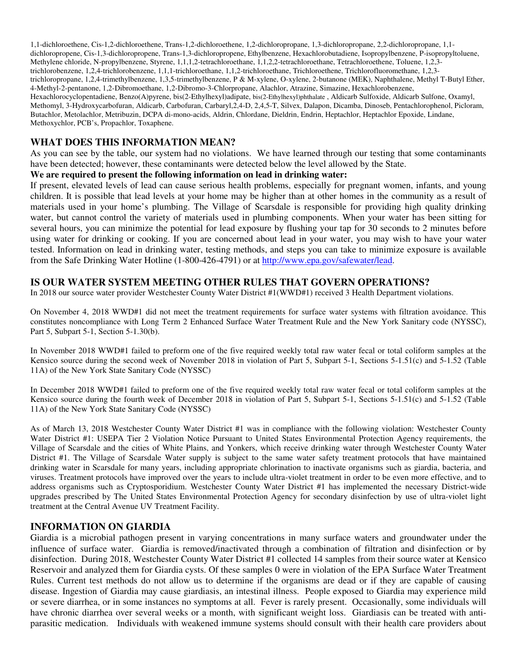1,1-dichloroethene, Cis-1,2-dichloroethene, Trans-1,2-dichloroethene, 1,2-dichloropropane, 1,3-dichloropropane, 2,2-dichloropropane, 1,1 dichloropropene, Cis-1,3-dichloropropene, Trans-1,3-dichloropropene, Ethylbenzene, Hexachlorobutadiene, Isopropylbenzene, P-isopropyltoluene, Methylene chloride, N-propylbenzene, Styrene, 1,1,1,2-tetrachloroethane, 1,1,2,2-tetrachloroethane, Tetrachloroethene, Toluene, 1,2,3 trichlorobenzene, 1,2,4-trichlorobenzene, 1,1,1-trichloroethane, 1,1,2-trichloroethane, Trichloroethene, Trichlorofluoromethane, 1,2,3 trichloropropane, 1,2,4-trimethylbenzene, 1,3,5-trimethylbenzene, P & M-xylene, O-xylene, 2-butanone (MEK), Naphthalene, Methyl T-Butyl Ether, 4-Methyl-2-pentanone, 1,2-Dibromoethane, 1,2-Dibromo-3-Chlorpropane, Alachlor, Atrazine, Simazine, Hexachlorobenzene, Hexachlorocyclopentadiene, Benzo(A)pyrene, bis(2-Ethylhexyl)adipate, bis(2-Ethylhexyl)phthalate , Aldicarb Sulfoxide, Aldicarb Sulfone, Oxamyl, Methomyl, 3-Hydroxycarbofuran, Aldicarb, Carbofuran, Carbaryl,2,4-D, 2,4,5-T, Silvex, Dalapon, Dicamba, Dinoseb, Pentachlorophenol, Picloram, Butachlor, Metolachlor, Metribuzin, DCPA di-mono-acids, Aldrin, Chlordane, Dieldrin, Endrin, Heptachlor, Heptachlor Epoxide, Lindane, Methoxychlor, PCB's, Propachlor, Toxaphene.

## **WHAT DOES THIS INFORMATION MEAN?**

As you can see by the table, our system had no violations. We have learned through our testing that some contaminants have been detected; however, these contaminants were detected below the level allowed by the State.

#### **We are required to present the following information on lead in drinking water:**

If present, elevated levels of lead can cause serious health problems, especially for pregnant women, infants, and young children. It is possible that lead levels at your home may be higher than at other homes in the community as a result of materials used in your home's plumbing. The Village of Scarsdale is responsible for providing high quality drinking water, but cannot control the variety of materials used in plumbing components. When your water has been sitting for several hours, you can minimize the potential for lead exposure by flushing your tap for 30 seconds to 2 minutes before using water for drinking or cooking. If you are concerned about lead in your water, you may wish to have your water tested. Information on lead in drinking water, testing methods, and steps you can take to minimize exposure is available from the Safe Drinking Water Hotline (1-800-426-4791) or at http://www.epa.gov/safewater/lead.

### **IS OUR WATER SYSTEM MEETING OTHER RULES THAT GOVERN OPERATIONS?**

In 2018 our source water provider Westchester County Water District #1(WWD#1) received 3 Health Department violations.

On November 4, 2018 WWD#1 did not meet the treatment requirements for surface water systems with filtration avoidance. This constitutes noncompliance with Long Term 2 Enhanced Surface Water Treatment Rule and the New York Sanitary code (NYSSC), Part 5, Subpart 5-1, Section 5-1.30(b).

In November 2018 WWD#1 failed to preform one of the five required weekly total raw water fecal or total coliform samples at the Kensico source during the second week of November 2018 in violation of Part 5, Subpart 5-1, Sections 5-1.51(c) and 5-1.52 (Table 11A) of the New York State Sanitary Code (NYSSC)

In December 2018 WWD#1 failed to preform one of the five required weekly total raw water fecal or total coliform samples at the Kensico source during the fourth week of December 2018 in violation of Part 5, Subpart 5-1, Sections 5-1.51(c) and 5-1.52 (Table 11A) of the New York State Sanitary Code (NYSSC)

As of March 13, 2018 Westchester County Water District #1 was in compliance with the following violation: Westchester County Water District #1: USEPA Tier 2 Violation Notice Pursuant to United States Environmental Protection Agency requirements, the Village of Scarsdale and the cities of White Plains, and Yonkers, which receive drinking water through Westchester County Water District #1. The Village of Scarsdale Water supply is subject to the same water safety treatment protocols that have maintained drinking water in Scarsdale for many years, including appropriate chlorination to inactivate organisms such as giardia, bacteria, and viruses. Treatment protocols have improved over the years to include ultra-violet treatment in order to be even more effective, and to address organisms such as Cryptosporidium. Westchester County Water District #1 has implemented the necessary District-wide upgrades prescribed by The United States Environmental Protection Agency for secondary disinfection by use of ultra-violet light treatment at the Central Avenue UV Treatment Facility.

### **INFORMATION ON GIARDIA**

Giardia is a microbial pathogen present in varying concentrations in many surface waters and groundwater under the influence of surface water. Giardia is removed/inactivated through a combination of filtration and disinfection or by disinfection. During 2018, Westchester County Water District #1 collected 14 samples from their source water at Kensico Reservoir and analyzed them for Giardia cysts. Of these samples 0 were in violation of the EPA Surface Water Treatment Rules. Current test methods do not allow us to determine if the organisms are dead or if they are capable of causing disease. Ingestion of Giardia may cause giardiasis, an intestinal illness. People exposed to Giardia may experience mild or severe diarrhea, or in some instances no symptoms at all. Fever is rarely present. Occasionally, some individuals will have chronic diarrhea over several weeks or a month, with significant weight loss. Giardiasis can be treated with antiparasitic medication. Individuals with weakened immune systems should consult with their health care providers about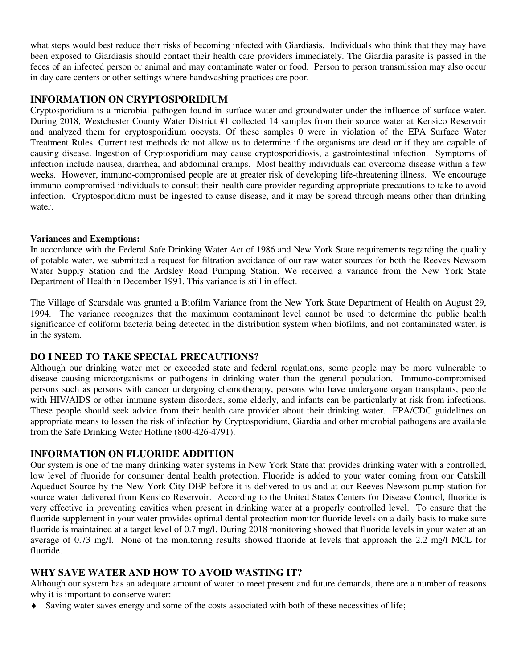what steps would best reduce their risks of becoming infected with Giardiasis. Individuals who think that they may have been exposed to Giardiasis should contact their health care providers immediately. The Giardia parasite is passed in the feces of an infected person or animal and may contaminate water or food. Person to person transmission may also occur in day care centers or other settings where handwashing practices are poor.

# **INFORMATION ON CRYPTOSPORIDIUM**

Cryptosporidium is a microbial pathogen found in surface water and groundwater under the influence of surface water. During 2018, Westchester County Water District #1 collected 14 samples from their source water at Kensico Reservoir and analyzed them for cryptosporidium oocysts. Of these samples 0 were in violation of the EPA Surface Water Treatment Rules. Current test methods do not allow us to determine if the organisms are dead or if they are capable of causing disease. Ingestion of Cryptosporidium may cause cryptosporidiosis, a gastrointestinal infection. Symptoms of infection include nausea, diarrhea, and abdominal cramps. Most healthy individuals can overcome disease within a few weeks. However, immuno-compromised people are at greater risk of developing life-threatening illness. We encourage immuno-compromised individuals to consult their health care provider regarding appropriate precautions to take to avoid infection. Cryptosporidium must be ingested to cause disease, and it may be spread through means other than drinking water.

## **Variances and Exemptions:**

In accordance with the Federal Safe Drinking Water Act of 1986 and New York State requirements regarding the quality of potable water, we submitted a request for filtration avoidance of our raw water sources for both the Reeves Newsom Water Supply Station and the Ardsley Road Pumping Station. We received a variance from the New York State Department of Health in December 1991. This variance is still in effect.

The Village of Scarsdale was granted a Biofilm Variance from the New York State Department of Health on August 29, 1994. The variance recognizes that the maximum contaminant level cannot be used to determine the public health significance of coliform bacteria being detected in the distribution system when biofilms, and not contaminated water, is in the system.

# **DO I NEED TO TAKE SPECIAL PRECAUTIONS?**

Although our drinking water met or exceeded state and federal regulations, some people may be more vulnerable to disease causing microorganisms or pathogens in drinking water than the general population. Immuno-compromised persons such as persons with cancer undergoing chemotherapy, persons who have undergone organ transplants, people with HIV/AIDS or other immune system disorders, some elderly, and infants can be particularly at risk from infections. These people should seek advice from their health care provider about their drinking water. EPA/CDC guidelines on appropriate means to lessen the risk of infection by Cryptosporidium, Giardia and other microbial pathogens are available from the Safe Drinking Water Hotline (800-426-4791).

# **INFORMATION ON FLUORIDE ADDITION**

Our system is one of the many drinking water systems in New York State that provides drinking water with a controlled, low level of fluoride for consumer dental health protection. Fluoride is added to your water coming from our Catskill Aqueduct Source by the New York City DEP before it is delivered to us and at our Reeves Newsom pump station for source water delivered from Kensico Reservoir. According to the United States Centers for Disease Control, fluoride is very effective in preventing cavities when present in drinking water at a properly controlled level. To ensure that the fluoride supplement in your water provides optimal dental protection monitor fluoride levels on a daily basis to make sure fluoride is maintained at a target level of 0.7 mg/l. During 2018 monitoring showed that fluoride levels in your water at an average of 0.73 mg/l. None of the monitoring results showed fluoride at levels that approach the 2.2 mg/l MCL for fluoride.

# **WHY SAVE WATER AND HOW TO AVOID WASTING IT?**

Although our system has an adequate amount of water to meet present and future demands, there are a number of reasons why it is important to conserve water:

♦ Saving water saves energy and some of the costs associated with both of these necessities of life;